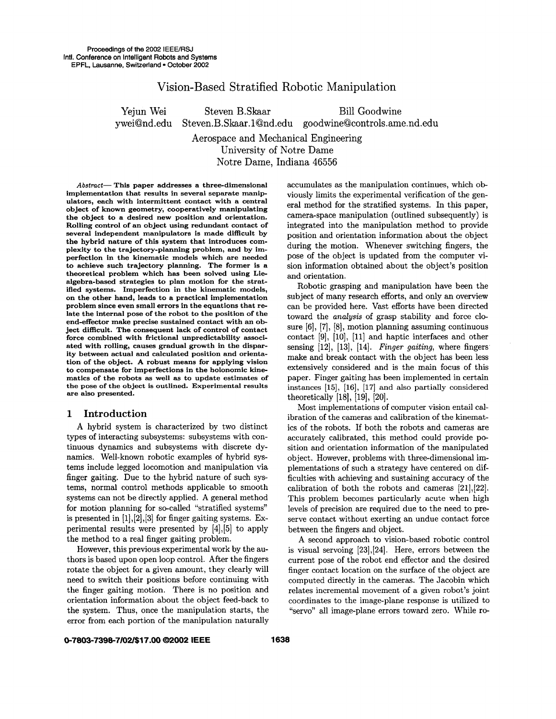# Vision-Based Stratified Robotic Manipulation

Yejun Wei Steven B.Skaar Bill Goodwine ywei@nd.edu Steven.B. Skaar. 1@nd.edu goodwine@controls.ame.nd.edu Aerospace and Mechanical Engineering University of Notre Dame

Notre Dame, Indiana 46556

*Abstmct-* This paper addresses a three-dimensional implementation that results in several separate manipulators, each with intermittent contact with a central object of known geometry, cooperatively manipulating the object to a desired new position and orientation. Rolling control of an object using redundant contact of several independent manipulators is made difficult by the hybrid nature of this system that introduces complexity to the trajectory-planning problem, and by imperfection in the kinematic models which are needed to achieve such trajectory planning. The former is a theoretical problem which has been solved using Liealgebra-based strategies to plan motion for the stratified systems. Imperfection in the kinematic models, on the other hand, leads to a practical implementation problem since even small errors in the equations that **re**late the internal pose of the robot to the position of the end-effector make precise sustained contact with **an** object difficult. The consequent lack of control of contact force combined with frictional unpredictability associated with rolling, causes gradual growth in the disparity between actual and calculated position and orientation of the object. **A** robust means for applying vision to compensate for imperfections in the holonomic kinematics of the robots **as** well **as** to update estimates of the pose of the object is outlined. Experimental results are also presented.

#### **1 Introduction**

**A** hybrid system is characterized by two distinct types of interacting subsystems: subsystems with continuous dynamics and subsystems with discrete dynamics. Well-known robotic examples of hybrid systems include legged locomotion and manipulation via finger gaiting. Due to the hybrid nature of such systems, normal control methods applicable to smooth systems can not be directly applied. **A** general method for motion planning for so-called "stratified systems'' is presented in  $[1], [2], [3]$  for finger gaiting systems. Experimental results were presented by [4],[5] to apply the method to a real finger gaiting problem.

However, this previous experimental work by the authors is based upon open loop control. After the fingers rotate the object for a given amount, they clearly will need to switch their positions before continuing with the finger gaiting motion. There is no position and orientation information about the object feed-back to the system. Thus, once the manipulation starts, the error from each portion of the manipulation naturally accumulates **as** the manipulation continues, which obviously limits the experimental verification of the general method for the stratified systems. In this paper, camera-space manipulation (outlined subsequently) is integrated into the manipulation method to provide position and orientation information about the object during the motion. Whenever switching fingers, the pose of the object is updated from the computer vision information obtained about the object's position and orientation.

Robotic grasping and manipulation have been the subject of many research efforts, and only an overview can be provided here. Vast efforts have been directed toward the *analysis* of grasp stability and force closure [6], [7], **[8],** motion planning assuming continuous contact **[9],** [lo], [ll] and haptic interfaces and other sensing [12], [13], [14]. *Finger gaiting*, where fingers make and break contact with the object has been less extensively considered and is the main focus of this paper. Finger gaiting has been implemented in certain instances **[15], [16], [17]** and also partially considered theoretically  $[18]$ ,  $[19]$ ,  $[20]$ .

Most implementations of computer vision entail calibration of the cameras and calibration of the kinematics of the robots. If both the robots and cameras are accurately calibrated, this method could provide position and orientation information of the manipulated object. However, problems with three-dimensional implementations of such a strategy have centered on difficulties with achieving and sustaining accuracy of the calibration of both the robots and cameras [2lJ,[22]. This problem becomes particularly acute when high levels of precision are required due to the need to preserve contact without exerting an undue contact force between the fingers and object.

**A** second approach to vision-based robotic control is visual servoing [23],[24]. Here, errors between the current pose of the robot end effector and the desired finger contact location on the surface of the object are computed directly in the cameras. The Jacobin which relates incremental movement of a given robot's joint coordinates to the image-plane response is utilized to "servo" all image-plane errors toward zero. While **ro-**

#### **0-7803-7398-7/02/\$17.00** *02002* **IEEE 1638**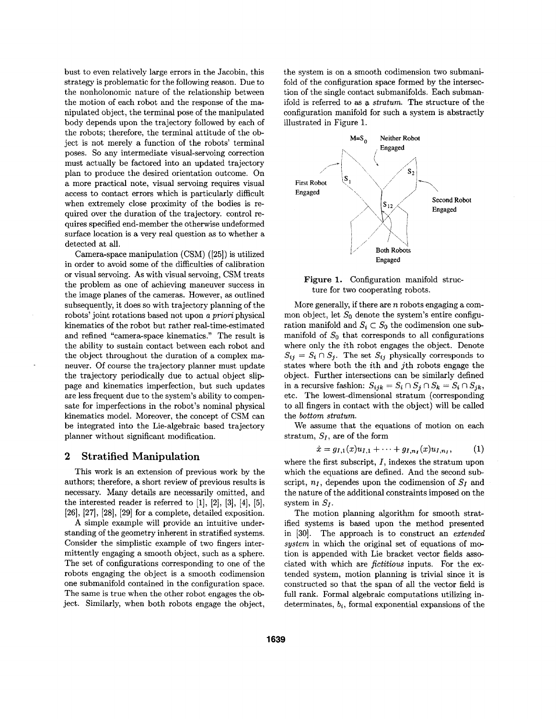bust to even relatively large errors in the Jacobin, this strategy is problematic for the following reason. Due to the nonholonomic nature of the relationship between the motion of each robot and the response of the manipulated object, the terminal pose of the manipulated body depends upon the trajectory followed by each of the robots; therefore, the terminal attitude of the object is not merely a function of the robots' terminal poses. So any intermediate visual-servoing correction must actually be factored into an updated trajectory plan to produce the desired orientation outcome. On a more practical note, visual servoing requires visual access to contact errors which is particularly difficult when extremely close proximity of the bodies is required over the duration of the trajectory. control requires specified end-member the otherwise undeformed surface location is a very real question as to whether a detected at all.

Camera-space manipulation (CSM) **([25])** is utilized in order to avoid some of the difficulties of calibration or visual servoing. **As** with visual servoing, CSM treats the problem as one of achieving maneuver success in the image planes of the cameras. However, **as** outlined subsequently, it does so with trajectory planning of the robots' joint rotations based not upon a *priori* physical kinematics of the robot but rather real-time-estimated and refined "camera-space kinematics." The result is the ability to sustain contact between each robot and the object throughout the duration of a complex maneuver. Of course the trajectory planner must update the trajectory periodically due to actual object slippage and kinematics imperfection, but such updates are less frequent due to the system's ability to compensate for imperfections in the robot's nominal physical kinematics model. Moreover, the concept of CSM can be integrated into the Lie-algebraic based trajectory planner without significant modification.

## **2 Stratified Manipulation**

This work is an extension of previous work by the authors; therefore, a short review of previous results is necessary. Many details are necessarily omitted, and the interested reader is referred to **[l], [2], [3], [4], [5], [26], [27], [28], [29]** for a complete, detailed exposition.

**A** simple example will provide an intuitive understanding of the geometry inherent in stratified systems. Consider the simplistic example of two fingers intermittently engaging a smooth object, such as a sphere. The set of configurations corresponding to one of the robots engaging the object is a smooth codimension one submanifold contained in the configuration space. The same is true when the other robot engages the object. Similarly, when both robots engage the object,

the system is on a smooth codimension two submanifold of the configuration space formed by the intersection of the single contact submanifolds. Each submanifold is referred to as **a** stratum. The structure of the configuration manifold for such a system is abstractly illustrated in Figure 1.



**Figure** 1. Configuration manifold structure for two cooperating robots.

More generally, if there are *n* robots engaging a common object, let  $S_0$  denote the system's entire configuration manifold and  $S_i \subset S_0$  the codimension one submanifold of  $S_0$  that corresponds to all configurations where only the ith robot engages the object. Denote  $S_{ij} = S_i \cap S_j$ . The set  $S_{ij}$  physically corresponds to states where both the ith and jth robots engage the object. Further intersections can be similarly defined in a recursive fashion:  $S_{ijk} = S_i \cap S_j \cap S_k = S_i \cap S_{jk}$ , etc. The lowest-dimensional stratum (corresponding to all fingers in contact with the object) will be called the bottom stratum.

We assume that the equations of motion on each stratum, *SI,* are of the form

$$
\dot{x} = g_{I,1}(x)u_{I,1} + \cdots + g_{I,n_I}(x)u_{I,n_I}, \qquad (1)
$$

where the first subscript,  $I$ , indexes the stratum upon which the equations are defined. **And** the second subscript,  $n_I$ , dependes upon the codimension of  $S_I$  and the nature of the additional constraints imposed on the system in  $S_I$ .

The motion planning algorithm for smooth stratified systems is based upon the method presented in **[30].** The approach is to construct an extended system in which the original set of equations of motion is appended with Lie bracket vector fields **asso**ciated with which are fictitious inputs. For the extended system, motion planning is trivial since it is constructed so that the span of all the vector field is full rank. Formal algebraic computations utilizing indeterminates,  $b_i$ , formal exponential expansions of the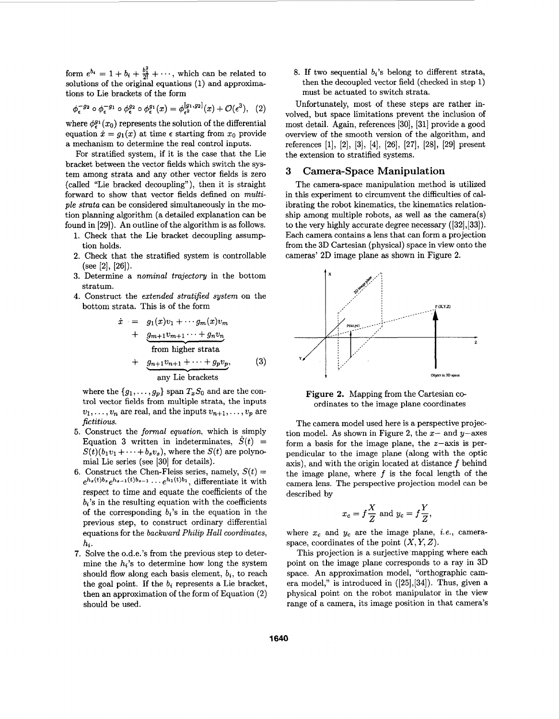form  $e^{b_i} = 1 + b_i + \frac{b_1^2}{2!} + \cdots$ , which can be related to solutions of the original equations **(1)** and approximations to Lie brackets of the form

$$
\phi_{\epsilon}^{-g_2} \circ \phi_{\epsilon}^{-g_1} \circ \phi_{\epsilon}^{g_2} \circ \phi_{\epsilon}^{g_1}(x) = \phi_{\epsilon^2}^{[g_1, g_2]}(x) + \mathcal{O}(\epsilon^3), \quad (2)
$$

where  $\phi_{\epsilon}^{g_1}(x_0)$  represents the solution of the differential equation  $\dot{x} = g_1(x)$  at time  $\epsilon$  starting from  $x_0$  provide a mechanism to determine the real control inputs.

For stratified system, if it is the case that the Lie bracket between the vector fields which switch the system among strata and any other vector fields is zero (called "Lie bracked decoupling"), then it is straight forward to show that vector fields defined on *multiple strata* can be considered simultaneously in the me tion planning algorithm (a detailed explanation can be found in **[29]).** An outline of the algorithm is **as** follows.

- **1.** Check that the Lie bracket decoupling assump tion holds.
- **2.** Check that the stratified system is controllable  $(see [2], [26]).$
- **3.** Determine a *nominal trajectory* in the bottom stratum.
- **4.** Construct the *extended stratified system* on the bottom strata. This is of the form

The *n nominal trajectory* in the bottom  
to the *extended stratified system* on the  
rate. This is of the form  

$$
\dot{x} = g_1(x)v_1 + \cdots g_m(x)v_m + \underbrace{g_{m+1}v_{m+1}\cdots + g_nv_n}_{\text{from higher strata}} + \underbrace{g_{n+1}v_{n+1} + \cdots + g_pv_p}_{\text{inertate}}, \qquad (3)
$$

any Lie brackets

where the  $\{g_1, \ldots, g_p\}$  span  $T_xS_0$  and are the control vector fields from multiple strata, the inputs  $v_1, \ldots, v_n$  are real, and the inputs  $v_{n+1}, \ldots, v_p$  are *fictitious.* 

- **5.** Construct the *formal equation,* which is simply Equation 3 written in indeterminates,  $S(t)$  =  $S(t)(b_1v_1+\cdots+b_sv_s)$ , where the  $S(t)$  are polynomial Lie series (see **[30]** for details).
- 6. Construct the Chen-Fleiss series, namely,  $S(t)$  = respect to time and equate the coefficients of the  $b_i$ 's in the resulting equation with the coefficients of the corresponding  $b_i$ 's in the equation in the previous step, to construct ordinary differential equations for the *backward Philip Hall coordinates,*   $e^{h_s(t)b_s}e^{h_{s-1}(t)b_{s-1}}\cdots e^{h_1(t)b_1}$ , differentiate it with *hi.*
- **7.** Solve the o.d.e.'s from the previous step to determine the  $h_i$ 's to determine how long the system should flow along each basis element, *bi,* to reach the goal point. If the  $b_i$  represents a Lie bracket, then an approximation of the form of Equation **(2)**  should be used.

8. If two sequential  $b_i$ 's belong to different strata, then the decoupled vector field (checked in step 1) must be actuated to switch strata.

Unfortunately, most of these steps are rather involved, but space limitations prevent the inclusion of most detail. Again, references **[30], [31]** provide a good overview of the smooth version of the algorithm, and references **[l], [2], [3], [4], [26], [27], [28], [29]** present the extension to stratified systems.

## **3 Camera-Space Manipulation**

The camera-space manipulation method is utilized in this experiment to circumvent the difficulties of calibrating the robot kinematics, the kinematics relationship among multiple robots, **as** well **as** the camera(s) to the very highly accurate degree necessary **([32],[33]).**  Each camera contains a lens that can form a projection from the **3D** Cartesian (physical) space in view onto the cameras' 2D image plane **as** shown in Figure 2.



**Figure 2.** Mapping from the Cartesian coordinates to the image plane coordinates

The camera model used here is a perspective projection model. **As** shown in Figure **2,** the *2-* and y-axes form a basis for the image plane, the  $z$ -axis is perpendicular to the image plane (along with the optic axis), and with the origin located at distance *f* behind the image plane, where *f* is the focal length of the camera lens. The perspective projection model can be described by

$$
x_c = f\frac{X}{Z} \text{ and } y_c = f\frac{Y}{Z},
$$

where  $x_c$  and  $y_c$  are the image plane, *i.e.*, cameraspace, coordinates of the point  $(X, Y, Z)$ .

This projection is a surjective'mapping where each point on the image plane corresponds to a ray in **3D**  space. An approximation model, "orthographic camera model," is introduced in **([25],[34]).** Thus, given a physical point on the robot manipulator in the view range of a camera, its image position in that camera's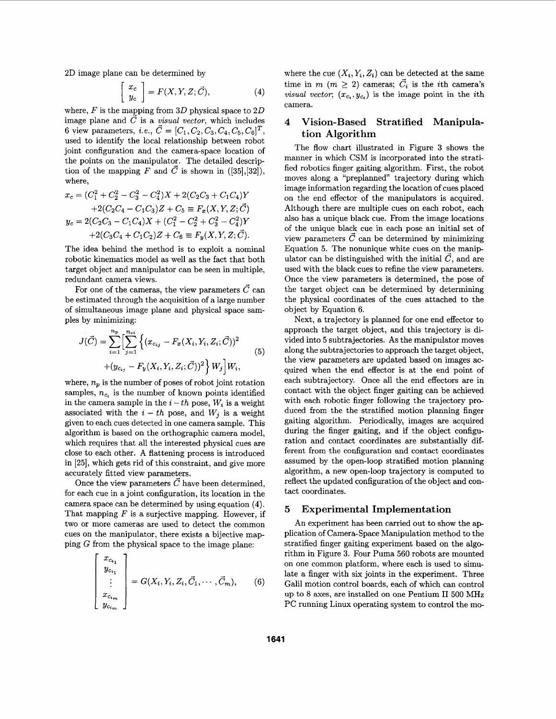**2D** image plane can be determined by

e can be determined by  
\n
$$
\begin{bmatrix} x_c \\ y_c \end{bmatrix} = F(X, Y, Z; \vec{C}), \tag{4}
$$

where,  $F$  is the mapping from  $3D$  physical space to  $2D$ image plane and  $\vec{C}$  is a *visual vector*, which includes 6 view parameters, *i.e.*,  $\vec{C} = [C_1, C_2, C_3, C_4, C_5, C_6]^T$ , used to identify the local relationship between robot joint configuration and the camera-space location of the points on the manipulator. The detailed description of the mapping *F* and  $\vec{C}$  is shown in ([35],[32]), where,

$$
x_c = (C_1^2 + C_2^2 - C_3^2 - C_4^2)X + 2(C_2C_3 + C_1C_4)Y
$$
  
+2(C\_2C\_4 - C\_1C\_3)Z + C\_5 \equiv F\_x(X, Y, Z; \vec{C})  

$$
y_c = 2(C_2C_3 - C_1C_4)X + (C_1^2 - C_2^2 + C_3^2 - C_4^2)Y
$$
  
+2(C\_3C\_4 + C\_1C\_2)Z + C\_6 \equiv F\_y(X, Y, Z; \vec{C}).

The idea behind the method is to exploit a nominal robotic kinematics model as well as the fact that both target object and manipulator can be seen in multiple, redundant camera views.

For one of the cameras, the view parameters  $\vec{C}$  can be estimated through the acquisition of a large number of simultaneous image plane and physical space samples by minimizing:

$$
J(\vec{C}) = \sum_{i=1}^{n_p} \left[ \sum_{j=1}^{n_{ci}} \left\{ (x_{c_{ij}} - F_x(X_i, Y_i, Z_i; \vec{C}))^2 + (y_{c_{ij}} - F_y(X_i, Y_i, Z_i; \vec{C}))^2 \right\} W_j \right] W_i,
$$
\n(5)

where,  $n_p$  is the number of poses of robot joint rotation samples,  $n_{c_i}$  is the number of known points identified in the camera sample in the  $i-th$  pose,  $W_i$  is a weight associated with the  $i - th$  pose, and  $W_j$  is a weight given to each cues detected in one camera sample. This algorithm is based on the orthographic camera model, which requires that all the interested physical cues are close to each other. **A** flattening process is introduced in **[25],** which gets rid of this constraint, and give more accurately fitted view parameters.

Once the view parameters  $\vec{C}$  have been determined, for each cue in a joint configuration, its location in the camera space can be determined by using equation **(4).**  That mapping  $F$  is a surjective mapping. However, if two or more cameras are used to detect the common cues on the manipulator, there exists a bijective mapping **G** from the physical space to the image plane:

$$
\begin{bmatrix} x_{c_{i_1}} \\ y_{c_{i_1}} \\ \vdots \\ x_{c_{i_m}} \\ y_{c_{i_m}} \end{bmatrix} = G(X_i, Y_i, Z_i, \vec{C}_1, \cdots, \vec{C}_m), \qquad (6)
$$

where the cue  $(X_i, Y_i, Z_i)$  can be detected at the same time in  $m$  ( $m \geq 2$ ) cameras;  $\vec{C}_i$  is the *i*th camera's *visual vector,*  $(x_{c_i}, y_{c_i})$  is the image point in the *i*th camera.

## **4 Vision-Based Stratified Manipulat ion Algorithm**

The flow chart illustrated in [Figure](#page-4-0) **3** shows the manner in which CSM is incorporated into the stratified robotics finger gaiting algorithm. First, the robot moves along a "preplanned" trajectory during which image information regarding the location of cues placed on the end effector of the manipulators is acquired. Although there are multiple cues on each robot, each also has a unique black cue. From the image locations of the unique black cue in each pose an initial set of view parameters  $\vec{C}$  can be determined by minimizing Equation **5.** The nonunique white cues on the manipulator can be distinguished with the initial  $\vec{C}$ , and are used with the black cues to refine the view parameters. Once the view parameters is determined, the pose of the target object can be determined by determining the physical coordinates of the cues attached to the object by Equation **6.** 

Next, a trajectory is planned for one end effector to approach the target object, and this trajectory is divided into 5 subtrajectories. **As** the manipulator moves along the subtrajectories to approach the target object, the view parameters are updated based on images acquired when the end effector is at the end point of each subtrajectory. Once all the end effectors are in contact with the object finger gaiting can be achieved with each robotic finger following the trajectory **pro**duced from the the stratified motion planning finger gaiting algorithm. Periodically, images are acquired during the finger gaiting, and if the object configuration and contact coordinates are substantially different from the configuration and contact coordinates assumed by the open-loop stratified motion planning algorithm, a new open-loop trajectory is computed to reflect the updated configuration of the object and contact coordinates.

#### **5 Experimental Implementation**

An experiment has been carried out to show the application of Camera-Space Manipulation method to the stratified finger gaiting experiment based on the algorithm in [Figure](#page-4-0) **3.** Four Puma 560 robots are mounted on one common platform, where each is used to simulate a finger with six joints in the experiment. Three Galil motion control boards, each of which can control up to 8 axes, are installed on one Pentium **I1 500** MHz PC running Linux operating system to control the mo-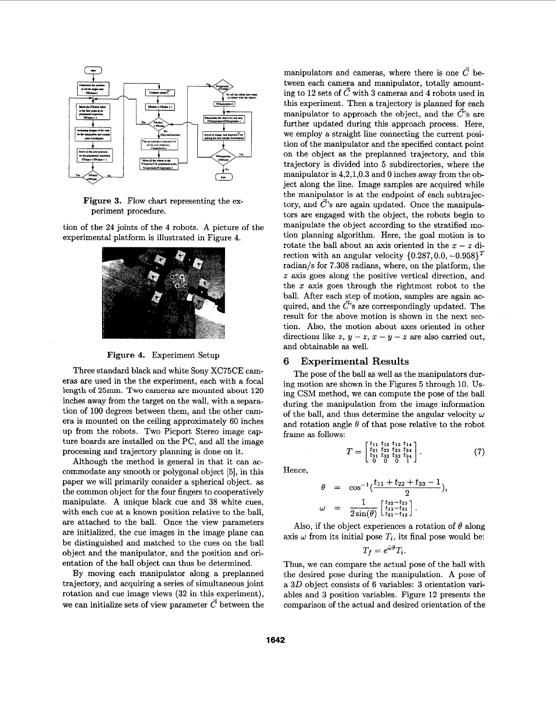<span id="page-4-0"></span>

**Figure 3.** Flow chart representing the experiment procedure.

tion of the **24** joints of the **4** robots. A picture of the experimental platform is illustrated in Figure 4.





Three standard black and white Sony XC75CE cameras are used in the the experiment, each with a focal length **of 25mm.** Two cameras are mounted about **120**  inches away from the target on the wall, with a separation of 100 degrees between them, and the other camera is mounted on the ceiling approximately **60** inches up from the robots. Two Picport Stereo image capture boards are installed on the PC, and all the image processing and trajectory planning is done on it.

Although the method is general in that it can accommodate any smooth or polygonal object **[5],** in this paper we will primarily consider a spherical object. **as**  the common object for the four fingers to cooperatively manipulate. A unique black cue and **38** white cues, with each cue at a known position relative to the ball, are attached to the ball. Once the view parameters are initialized, the cue images in the image plane can be distinguished and matched to the cues on the ball object and the manipulator, and the position and orientation of the ball object can thus be determined.

By moving each manipulator along a preplanned trajectory, and acquiring a series of simultaneous joint rotation and cue image views **(32** in this experiment), we can initialize sets of view parameter  $\vec{C}$  between the manipulators and cameras, where there is one  $\vec{C}$  between each camera and manipulator, totally amounting to 12 sets of  $\vec{C}$  with 3 cameras and 4 robots used in this experiment. Then a trajectory is planned for each manipulator to approach the object, and the  $\vec{C}$ 's are further updated during this approach process. Here, we employ a straight line connecting the current position of the manipulator and the specified contact point on the object **as** the preplanned trajectory, and this trajectory is divided into 5 subdirectories, where the manipulator is **4,2,1,0.3** and *0* inches away from the object along the line. Image samples are acquired while the manipulator is at the endpoint of each subtrajectory, and  $\vec{C}$ 's are again updated. Once the manipulators are engaged with the object, the robots begin to manipulate the object according to the stratified motion planning algorithm. Here, the goal motion is to rotate the ball about an axis oriented in the  $x - z$  direction with an angular velocity  $\{0.287, 0.0, -0.958\}^T$ radian/s for **7.308** radians, where, on the platform, the *z* axis goes along the positive vertical direction, and the *x* axis goes through the rightmost robot to the ball. After each step of motion, samples are again acquired, and the  $\vec{C}$ 's are correspondingly updated. The result for the above motion is shown in the next section. Also, the motion about axes oriented in other directions like  $z, y - z, x - y - z$  are also carried out, and obtainable as well.

## *6* **Experimental Results**

The pose of the ball **as** well **as** the manipulators during motion are shown in the Figures **5** through 10. Using CSM method, we can compute the pose of the ball during the manipulation from the image information of the ball, and thus determine the angular velocity  $\omega$ and rotation angle  $\theta$  of that pose relative to the robot frame **as** follows:

 $T = \begin{bmatrix} t_{11} & t_{12} & t_{13} & t_{14} \\ t_{21} & t_{22} & t_{23} & t_{24} \\ t_{31} & t_{32} & t_{33} & t_{34} \\ 0 & 0 & 0 & 1 \end{bmatrix}.$  (7)

Hence,

follows:  
\n
$$
T = \begin{bmatrix} t_{11} & t_{12} & t_{13} & t_{14} \\ t_{21} & t_{22} & t_{23} & t_{24} \\ t_{31} & t_{32} & t_{33} & t_{34} \\ t_{31} & t_{32} & t_{33} & t_{34} \end{bmatrix}.
$$
\n
$$
\theta = \cos^{-1}(\frac{t_{11} + t_{22} + t_{33} - 1}{2}),
$$
\n
$$
\omega = \frac{1}{2\sin(\theta)} \begin{bmatrix} t_{32} - t_{23} \\ t_{33} - t_{31} \\ t_{21} - t_{12} \end{bmatrix}.
$$
\nIf the object experiences a rotation

Also, if the object experiences a rotation of  $\theta$  along axis  $\omega$  from its initial pose  $T_i$ , its final pose would be:  $T_f = e^{\hat{\omega}\theta} T_i$ .

Thus, we can compare the actual pose of the ball with the desired pose during the manipulation. A pose of a **30** object consists of **6** variables: **3** orientation variables and **3** position variables. [Figure 12](#page-5-0) presents the comparison of the actual and desired orientation of the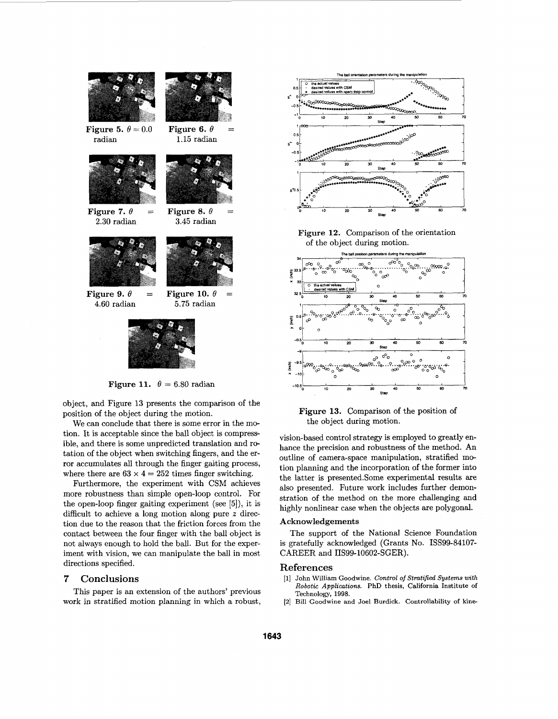<span id="page-5-0"></span>

**Figure 11.**  $\theta = 6.80$  radian

object, and Figure **13** presents the comparison of the position of the object during the motion.

We can conclude that there is some error in the motion. It is acceptable since the ball object is compressible, and there is some unpredicted translation and rotation of the object when switching fingers, and the error accumulates all through the finger gaiting process, where there are  $63 \times 4 = 252$  times finger switching.

Furthermore, the experiment with CSM achieves more robustness than simple open-loop control. For the open-loop finger gaiting experiment (see *[5]),* it is difficult to achieve a long motion along pure *z* direction due to the reason that the friction forces from the contact between the four finger with the ball object is not always enough to hold the ball. But for the experiment with vision, we can manipulate the ball in most directions specified.

## **7 Conclusions**

This paper is an extension of the authors' previous work in stratified motion planning in which a robust,



**Figure 12.** Comparison of the orientation of the object during motion.



**Figure 13.** Comparison of the position of the object during motion.

vision-based control strategy is employed to greatly enhance the precision and robustness of the method. An outline of camera-space manipulation, stratified motion planning and the incorporation of the former into the latter is presented.Some experimental results are also presented. Future work includes further demonstration of the method on the more challenging and highly nonlinear case when the objects are polygonal.

#### **Acknowledgements**

The support of the National Science Foundation is gratefully acknowledged (Grants No. ISS99-84107- CAREER and IIS99-10602-SGER).

#### **References**

- **[l] John William Goodwine. Control** *of Stratified Systems with Robotic Applications.* **PhD thesis, California Institute of Technology, 1998.**
- **[2] Bill Goodwine and Joel Burdick. Controllability of kine-**